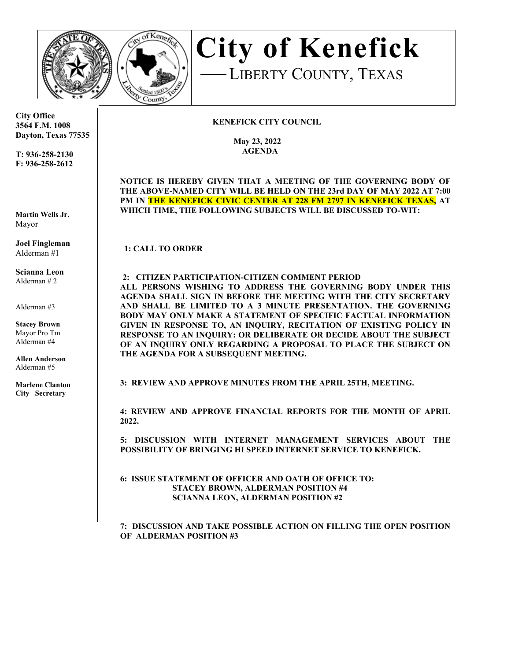



**City of Kenefick**LIBERTY COUNTY, TEXAS

## **KENEFICK CITY COUNCIL**

 **May 23, 2022 AGENDA**

**NOTICE IS HEREBY GIVEN THAT A MEETING OF THE GOVERNING BODY OF THE ABOVE-NAMED CITY WILL BE HELD ON THE 23rd DAY OF MAY 2022 AT 7:00 PM IN THE KENEFICK CIVIC CENTER AT 228 FM 2797 IN KENEFICK TEXAS, AT**  WHICH TIME, THE FOLLOWING SUBJECTS WILL BE DISCUSSED TO-WIT:

1: CALL TO ORDER

## **2: CITIZEN PARTICIPATION-CITIZEN COMMENT PERIOD**

**ALL PERSONS WISHING TO ADDRESS THE GOVERNING BODY UNDER THIS AGENDA SHALL SIGN IN BEFORE THE MEETING WITH THE CITY SECRETARY AND SHALL BE LIMITED TO A 3 MINUTE PRESENTATION. THE GOVERNING BODY MAY ONLY MAKE A STATEMENT OF SPECIFIC FACTUAL INFORMATION GIVEN IN RESPONSE TO, AN INQUIRY, RECITATION OF EXISTING POLICY IN RESPONSE TO AN INQUIRY: OR DELIBERATE OR DECIDE ABOUT THE SUBJECT OF AN INQUIRY ONLY REGARDING A PROPOSAL TO PLACE THE SUBJECT ON THE AGENDA FOR A SUBSEQUENT MEETING.**

**3: REVIEW AND APPROVE MINUTES FROM THE APRIL 25TH, MEETING.** 

**4: REVIEW AND APPROVE FINANCIAL REPORTS FOR THE MONTH OF APRIL 2022.**

**5: DISCUSSION WITH INTERNET MANAGEMENT SERVICES ABOUT THE POSSIBILITY OF BRINGING HI SPEED INTERNET SERVICE TO KENEFICK.** 

**6: ISSUE STATEMENT OF OFFICER AND OATH OF OFFICE TO: STACEY BROWN, ALDERMAN POSITION #4 SCIANNA LEON, ALDERMAN POSITION #2** 

**7: DISCUSSION AND TAKE POSSIBLE ACTION ON FILLING THE OPEN POSITION OF ALDERMAN POSITION #3**

**City Office 3564 F.M. 1008 Dayton, Texas 77535** 

**T: 936-258-2130 F: 936-258-2612** 

**Martin Wells Jr**. Mayor

**Joel Fingleman**  Alderman #1

**Scianna Leon** Alderman # 2

Alderman #3

**Stacey Brown**  Mayor Pro Tm Alderman #4

**Allen Anderson** Alderman #5

**Marlene Clanton City Secretary**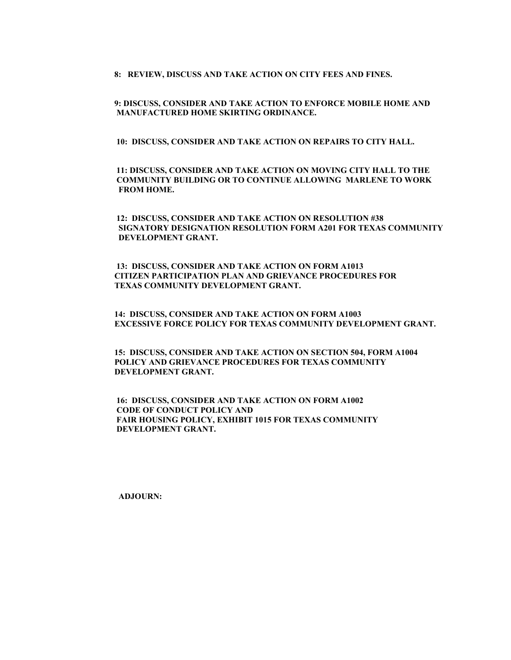**8: REVIEW, DISCUSS AND TAKE ACTION ON CITY FEES AND FINES.**

 **9: DISCUSS, CONSIDER AND TAKE ACTION TO ENFORCE MOBILE HOME AND MANUFACTURED HOME SKIRTING ORDINANCE.** 

 **10: DISCUSS, CONSIDER AND TAKE ACTION ON REPAIRS TO CITY HALL.**

 **11: DISCUSS, CONSIDER AND TAKE ACTION ON MOVING CITY HALL TO THE COMMUNITY BUILDING OR TO CONTINUE ALLOWING MARLENE TO WORK FROM HOME.**

 **12: DISCUSS, CONSIDER AND TAKE ACTION ON RESOLUTION #38 SIGNATORY DESIGNATION RESOLUTION FORM A201 FOR TEXAS COMMUNITY DEVELOPMENT GRANT.** 

 **13: DISCUSS, CONSIDER AND TAKE ACTION ON FORM A1013 CITIZEN PARTICIPATION PLAN AND GRIEVANCE PROCEDURES FOR TEXAS COMMUNITY DEVELOPMENT GRANT.**

 **14: DISCUSS, CONSIDER AND TAKE ACTION ON FORM A1003 EXCESSIVE FORCE POLICY FOR TEXAS COMMUNITY DEVELOPMENT GRANT.**

 **15: DISCUSS, CONSIDER AND TAKE ACTION ON SECTION 504, FORM A1004 POLICY AND GRIEVANCE PROCEDURES FOR TEXAS COMMUNITY DEVELOPMENT GRANT.**

 **16: DISCUSS, CONSIDER AND TAKE ACTION ON FORM A1002 CODE OF CONDUCT POLICY AND FAIR HOUSING POLICY, EXHIBIT 1015 FOR TEXAS COMMUNITY DEVELOPMENT GRANT.**

 **ADJOURN:**